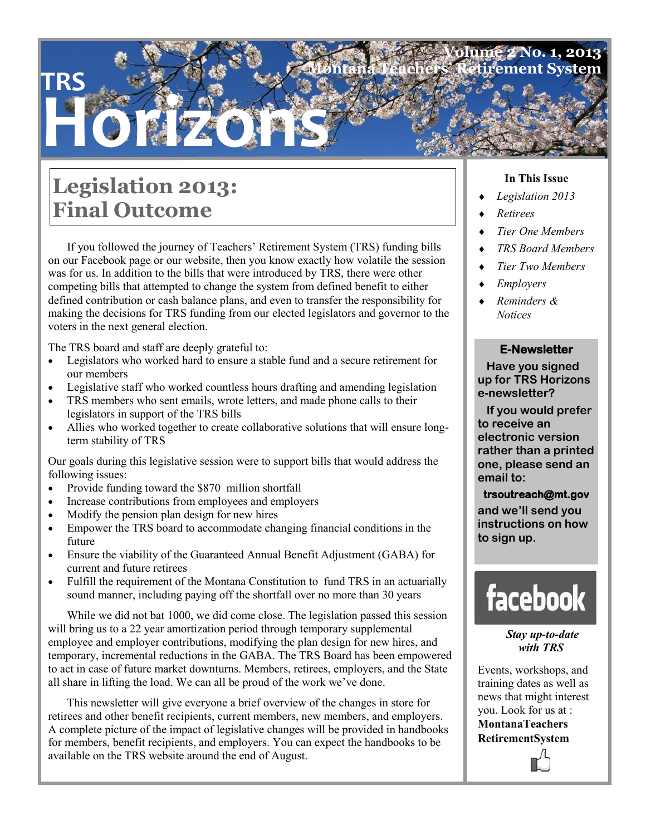### **Volume 2 No. 1, 2013 Montana System**

# **Legislation 2013: Final Outcome**

**TRS**

**Horizons**

If you followed the journey of Teachers' Retirement System (TRS) funding bills on our Facebook page or our website, then you know exactly how volatile the session was for us. In addition to the bills that were introduced by TRS, there were other competing bills that attempted to change the system from defined benefit to either defined contribution or cash balance plans, and even to transfer the responsibility for making the decisions for TRS funding from our elected legislators and governor to the voters in the next general election.

The TRS board and staff are deeply grateful to:

- Legislators who worked hard to ensure a stable fund and a secure retirement for our members
- Legislative staff who worked countless hours drafting and amending legislation
- TRS members who sent emails, wrote letters, and made phone calls to their legislators in support of the TRS bills
- Allies who worked together to create collaborative solutions that will ensure longterm stability of TRS

Our goals during this legislative session were to support bills that would address the following issues:

- Provide funding toward the \$870 million shortfall
- Increase contributions from employees and employers
- Modify the pension plan design for new hires
- Empower the TRS board to accommodate changing financial conditions in the future
- Ensure the viability of the Guaranteed Annual Benefit Adjustment (GABA) for current and future retirees
- Fulfill the requirement of the Montana Constitution to fund TRS in an actuarially sound manner, including paying off the shortfall over no more than 30 years

While we did not bat 1000, we did come close. The legislation passed this session will bring us to a 22 year amortization period through temporary supplemental employee and employer contributions, modifying the plan design for new hires, and temporary, incremental reductions in the GABA. The TRS Board has been empowered to act in case of future market downturns. Members, retirees, employers, and the State all share in lifting the load. We can all be proud of the work we've done.

This newsletter will give everyone a brief overview of the changes in store for retirees and other benefit recipients, current members, new members, and employers. A complete picture of the impact of legislative changes will be provided in handbooks for members, benefit recipients, and employers. You can expect the handbooks to be available on the TRS website around the end of August.

#### **In This Issue**

- *Legislation 2013*
- *Retirees*
- *Tier One Members*
- *TRS Board Members*
- *Tier Two Members*
- *Employers*
- *Reminders & Notices*

#### **E-Newsletter**

 **Have you signed up for TRS Horizons e-newsletter?** 

 **If you would prefer to receive an electronic version rather than a printed one, please send an email to:** 

#### **trsoutreach@mt.gov**

**and we'll send you instructions on how to sign up.**



*Stay up-to-date with TRS* 

Events, workshops, and training dates as well as news that might interest you. Look for us at : **MontanaTeachers RetirementSystem**

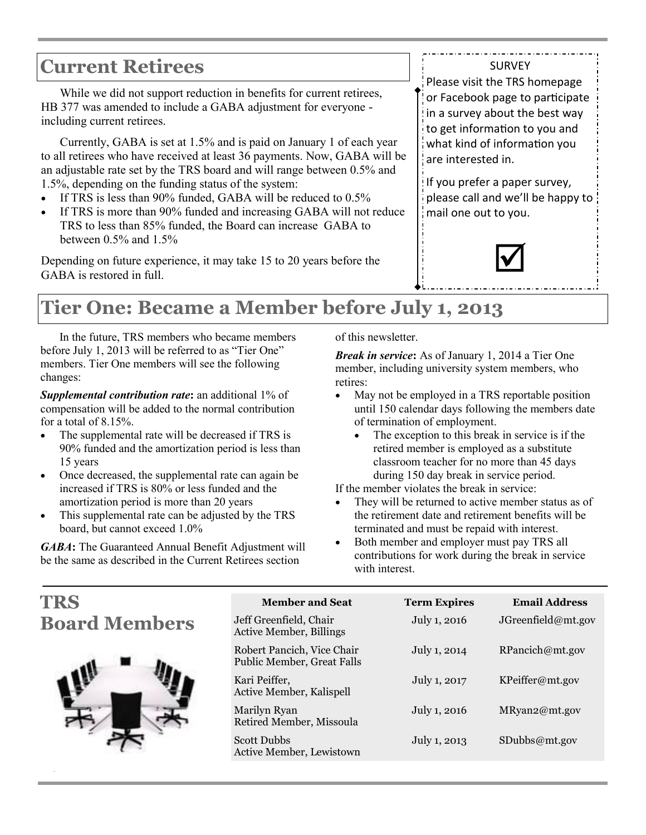### **Current Retirees**

While we did not support reduction in benefits for current retirees, HB 377 was amended to include a GABA adjustment for everyone including current retirees.

Currently, GABA is set at 1.5% and is paid on January 1 of each year to all retirees who have received at least 36 payments. Now, GABA will be an adjustable rate set by the TRS board and will range between 0.5% and 1.5%, depending on the funding status of the system:

- If TRS is less than 90% funded, GABA will be reduced to 0.5%
- If TRS is more than 90% funded and increasing GABA will not reduce TRS to less than 85% funded, the Board can increase GABA to between  $0.5\%$  and  $1.5\%$

Depending on future experience, it may take 15 to 20 years before the GABA is restored in full.

Please visit the TRS homepage or Facebook page to participate in a survey about the best way to get information to you and what kind of information you are interested in.

**SURVEY** 

If you prefer a paper survey, please call and we'll be happy to mail one out to you.



# **Tier One: Became a Member before July 1, 2013**

In the future, TRS members who became members before July 1, 2013 will be referred to as "Tier One" members. Tier One members will see the following changes:

*Supplemental contribution rate***:** an additional 1% of compensation will be added to the normal contribution for a total of 8.15%.

- The supplemental rate will be decreased if TRS is 90% funded and the amortization period is less than 15 years
- Once decreased, the supplemental rate can again be increased if TRS is 80% or less funded and the amortization period is more than 20 years
- This supplemental rate can be adjusted by the TRS board, but cannot exceed 1.0%

*GABA***:** The Guaranteed Annual Benefit Adjustment will be the same as described in the Current Retirees section

**Page 2**

of this newsletter.

*Break in service***:** As of January 1, 2014 a Tier One member, including university system members, who retires:

- May not be employed in a TRS reportable position until 150 calendar days following the members date of termination of employment.
	- The exception to this break in service is if the retired member is employed as a substitute classroom teacher for no more than 45 days during 150 day break in service period.

If the member violates the break in service:

- They will be returned to active member status as of the retirement date and retirement benefits will be terminated and must be repaid with interest.
- Both member and employer must pay TRS all contributions for work during the break in service with interest.

| TRS                  | <b>Member and Seat</b>                                   | <b>Term Expires</b> | <b>Email Address</b> |
|----------------------|----------------------------------------------------------|---------------------|----------------------|
| <b>Board Members</b> | Jeff Greenfield, Chair<br><b>Active Member, Billings</b> | July 1, 2016        | JGreenfield@mt.gov   |
|                      | Robert Pancich, Vice Chair<br>Public Member, Great Falls | July 1, 2014        | RPancich@mt.gov      |
|                      | Kari Peiffer,<br>Active Member, Kalispell                | July 1, 2017        | KPeiffer@mt.gov      |
|                      | Marilyn Ryan<br>Retired Member, Missoula                 | July 1, 2016        | MRyan2@mt.gov        |
|                      | <b>Scott Dubbs</b><br>Active Member, Lewistown           | July 1, 2013        | SDubbs@mt.gov        |
|                      |                                                          |                     |                      |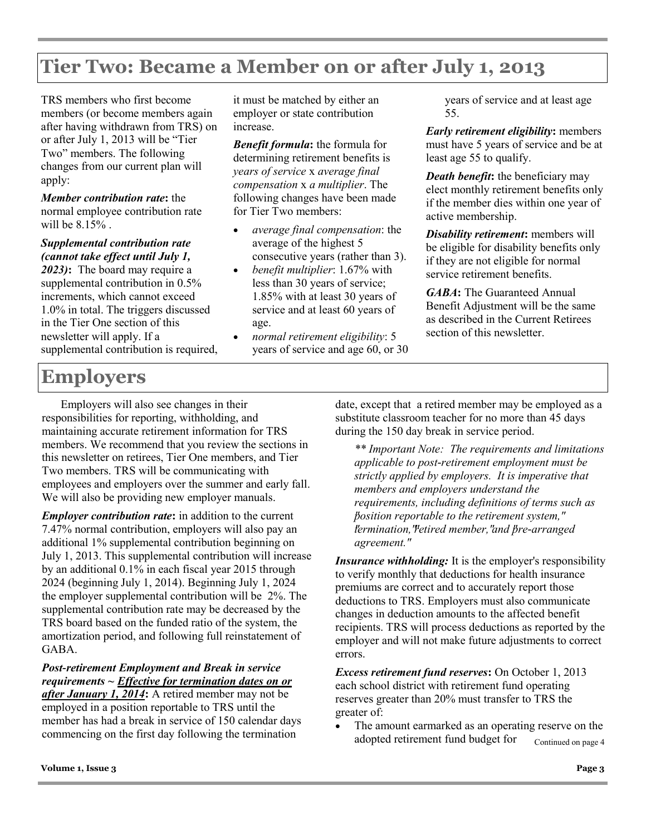### **Tier Two: Became a Member on or after July 1, 2013**

TRS members who first become members (or become members again after having withdrawn from TRS) on or after July 1, 2013 will be "Tier Two" members. The following changes from our current plan will apply:

*Member contribution rate***:** the normal employee contribution rate will be 8.15% .

*Supplemental contribution rate (cannot take effect until July 1, 2023)***:** The board may require a supplemental contribution in 0.5% increments, which cannot exceed 1.0% in total. The triggers discussed in the Tier One section of this newsletter will apply. If a supplemental contribution is required, it must be matched by either an employer or state contribution increase.

*Benefit formula***:** the formula for determining retirement benefits is *years of service* x *average final compensation* x *a multiplier*. The following changes have been made for Tier Two members:

- *average final compensation*: the average of the highest 5 consecutive years (rather than 3).
- *benefit multiplier*: 1.67% with less than 30 years of service; 1.85% with at least 30 years of service and at least 60 years of age.
- *normal retirement eligibility*: 5 years of service and age 60, or 30

years of service and at least age 55.

*Early retirement eligibility***:** members must have 5 years of service and be at least age 55 to qualify.

*Death benefit***:** the beneficiary may elect monthly retirement benefits only if the member dies within one year of active membership.

*Disability retirement***:** members will be eligible for disability benefits only if they are not eligible for normal service retirement benefits.

*GABA***:** The Guaranteed Annual Benefit Adjustment will be the same as described in the Current Retirees section of this newsletter.

## **Employers**

Employers will also see changes in their responsibilities for reporting, withholding, and maintaining accurate retirement information for TRS members. We recommend that you review the sections in this newsletter on retirees, Tier One members, and Tier Two members. TRS will be communicating with employees and employers over the summer and early fall. We will also be providing new employer manuals.

*Employer contribution rate***:** in addition to the current 7.47% normal contribution, employers will also pay an additional 1% supplemental contribution beginning on July 1, 2013. This supplemental contribution will increase by an additional 0.1% in each fiscal year 2015 through 2024 (beginning July 1, 2014). Beginning July 1, 2024 the employer supplemental contribution will be 2%. The supplemental contribution rate may be decreased by the TRS board based on the funded ratio of the system, the amortization period, and following full reinstatement of GABA.

### *Post-retirement Employment and Break in service requirements ~ Effective for termination dates on or*

*after January 1, 2014***:** A retired member may not be employed in a position reportable to TRS until the member has had a break in service of 150 calendar days commencing on the first day following the termination

date, except that a retired member may be employed as a substitute classroom teacher for no more than 45 days during the 150 day break in service period.

*\*\* Important Note: The requirements and limitations applicable to post-retirement employment must be strictly applied by employers. It is imperative that members and employers understand the requirements, including definitions of terms such as "position reportable to the retirement system," "termination," "retired member," and "pre-arranged agreement."* 

*Insurance withholding:* It is the employer's responsibility to verify monthly that deductions for health insurance premiums are correct and to accurately report those deductions to TRS. Employers must also communicate changes in deduction amounts to the affected benefit recipients. TRS will process deductions as reported by the employer and will not make future adjustments to correct errors.

*Excess retirement fund reserves***:** On October 1, 2013 each school district with retirement fund operating reserves greater than 20% must transfer to TRS the greater of:

• The amount earmarked as an operating reserve on the adopted retirement fund budget for Continued on page 4